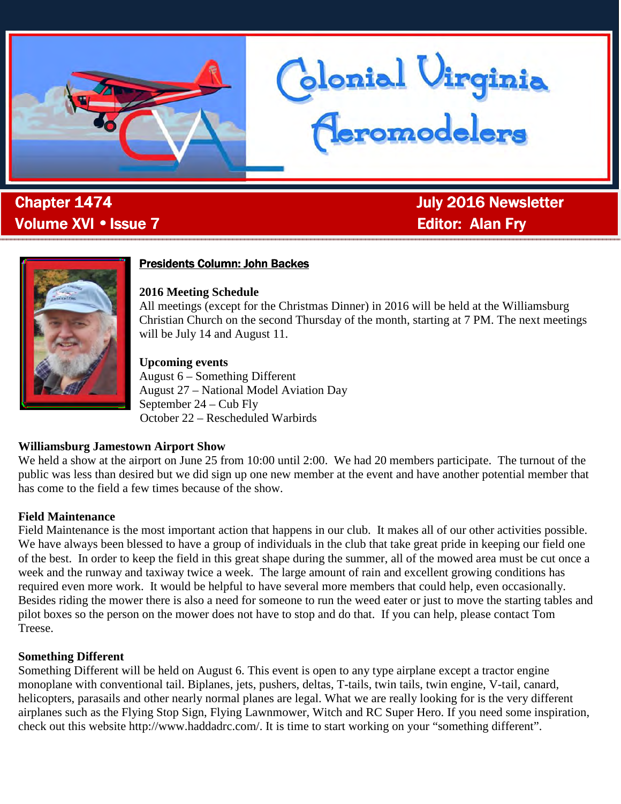

. Volume XVI • Issue 7 Alan Fry Alan Fry Alan Fry

**Chapter 1474 Chapter 1474 July 2016 Newsletter** 

donial Virginia<br>Ceromodelers



## **Presidents Column: John Backes**

#### **2016 Meeting Schedule**

All meetings (except for the Christmas Dinner) in 2016 will be held at the Williamsburg Christian Church on the second Thursday of the month, starting at 7 PM. The next meetings will be July 14 and August 11.

#### **Upcoming events**

August 6 – Something Different August 27 – National Model Aviation Day September 24 – Cub Fly October 22 – Rescheduled Warbirds

#### **Williamsburg Jamestown Airport Show**

We held a show at the airport on June 25 from 10:00 until 2:00. We had 20 members participate. The turnout of the public was less than desired but we did sign up one new member at the event and have another potential member that has come to the field a few times because of the show.

#### **Field Maintenance**

Field Maintenance is the most important action that happens in our club. It makes all of our other activities possible. We have always been blessed to have a group of individuals in the club that take great pride in keeping our field one of the best. In order to keep the field in this great shape during the summer, all of the mowed area must be cut once a week and the runway and taxiway twice a week. The large amount of rain and excellent growing conditions has required even more work. It would be helpful to have several more members that could help, even occasionally. Besides riding the mower there is also a need for someone to run the weed eater or just to move the starting tables and pilot boxes so the person on the mower does not have to stop and do that. If you can help, please contact Tom Treese.

#### **Something Different**

Something Different will be held on August 6. This event is open to any type airplane except a tractor engine monoplane with conventional tail. Biplanes, jets, pushers, deltas, T-tails, twin tails, twin engine, V-tail, canard, helicopters, parasails and other nearly normal planes are legal. What we are really looking for is the very different airplanes such as the Flying Stop Sign, Flying Lawnmower, Witch and RC Super Hero. If you need some inspiration, check out this website http://www.haddadrc.com/. It is time to start working on your "something different".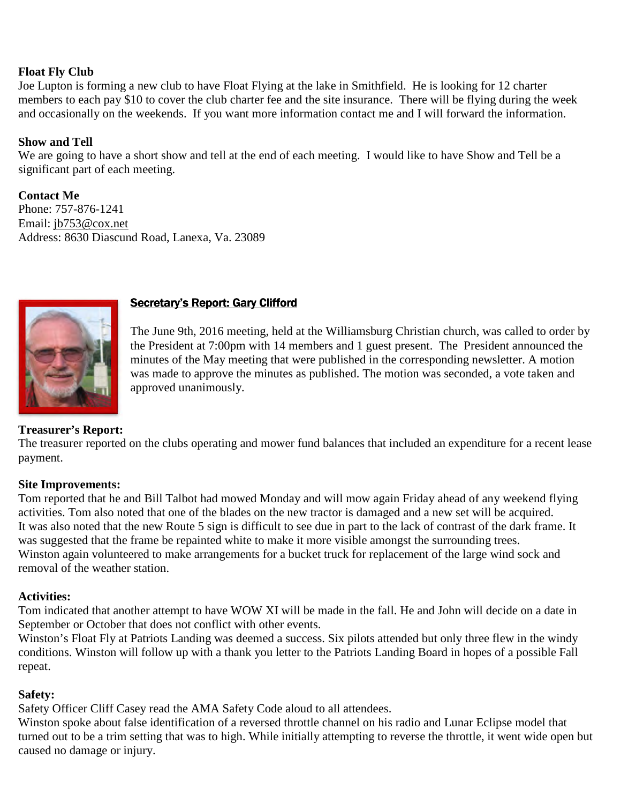## **Float Fly Club**

Joe Lupton is forming a new club to have Float Flying at the lake in Smithfield. He is looking for 12 charter members to each pay \$10 to cover the club charter fee and the site insurance. There will be flying during the week and occasionally on the weekends. If you want more information contact me and I will forward the information.

## **Show and Tell**

We are going to have a short show and tell at the end of each meeting. I would like to have Show and Tell be a significant part of each meeting.

**Contact Me**  Phone: 757-876-1241 Email: jb753@cox.net Address: 8630 Diascund Road, Lanexa, Va. 23089



## Secretary's Report: Gary Clifford

The June 9th, 2016 meeting, held at the Williamsburg Christian church, was called to order by the President at 7:00pm with 14 members and 1 guest present. The President announced the minutes of the May meeting that were published in the corresponding newsletter. A motion was made to approve the minutes as published. The motion was seconded, a vote taken and approved unanimously.

## **Treasurer's Report:**

The treasurer reported on the clubs operating and mower fund balances that included an expenditure for a recent lease payment.

#### **Site Improvements:**

Tom reported that he and Bill Talbot had mowed Monday and will mow again Friday ahead of any weekend flying activities. Tom also noted that one of the blades on the new tractor is damaged and a new set will be acquired. It was also noted that the new Route 5 sign is difficult to see due in part to the lack of contrast of the dark frame. It was suggested that the frame be repainted white to make it more visible amongst the surrounding trees. Winston again volunteered to make arrangements for a bucket truck for replacement of the large wind sock and removal of the weather station.

## **Activities:**

Tom indicated that another attempt to have WOW XI will be made in the fall. He and John will decide on a date in September or October that does not conflict with other events.

Winston's Float Fly at Patriots Landing was deemed a success. Six pilots attended but only three flew in the windy conditions. Winston will follow up with a thank you letter to the Patriots Landing Board in hopes of a possible Fall repeat.

#### **Safety:**

Safety Officer Cliff Casey read the AMA Safety Code aloud to all attendees.

Winston spoke about false identification of a reversed throttle channel on his radio and Lunar Eclipse model that turned out to be a trim setting that was to high. While initially attempting to reverse the throttle, it went wide open but caused no damage or injury.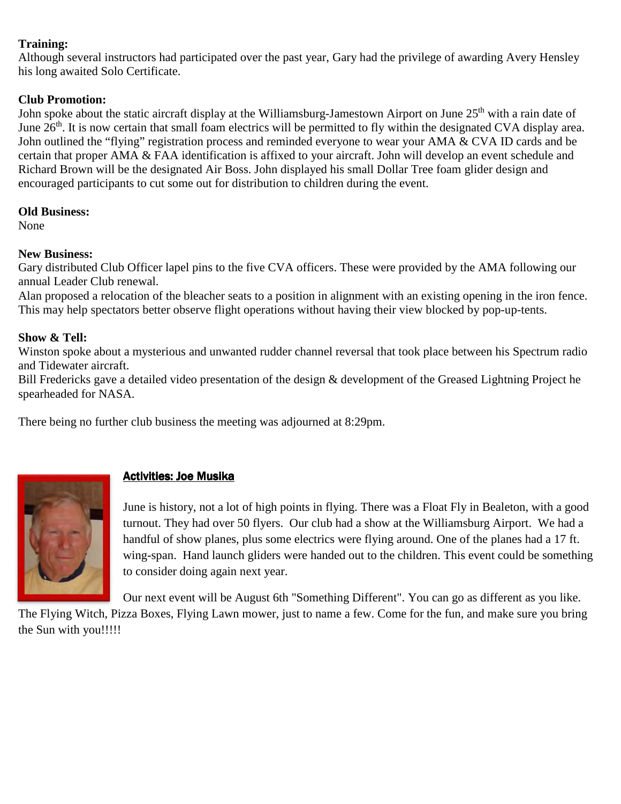## **Training:**

Although several instructors had participated over the past year, Gary had the privilege of awarding Avery Hensley his long awaited Solo Certificate.

## **Club Promotion:**

John spoke about the static aircraft display at the Williamsburg-Jamestown Airport on June 25<sup>th</sup> with a rain date of June  $26<sup>th</sup>$ . It is now certain that small foam electrics will be permitted to fly within the designated CVA display area. John outlined the "flying" registration process and reminded everyone to wear your AMA & CVA ID cards and be certain that proper AMA & FAA identification is affixed to your aircraft. John will develop an event schedule and Richard Brown will be the designated Air Boss. John displayed his small Dollar Tree foam glider design and encouraged participants to cut some out for distribution to children during the event.

### **Old Business:**

None

## **New Business:**

Gary distributed Club Officer lapel pins to the five CVA officers. These were provided by the AMA following our annual Leader Club renewal.

Alan proposed a relocation of the bleacher seats to a position in alignment with an existing opening in the iron fence. This may help spectators better observe flight operations without having their view blocked by pop-up-tents.

## **Show & Tell:**

Winston spoke about a mysterious and unwanted rudder channel reversal that took place between his Spectrum radio and Tidewater aircraft.

Bill Fredericks gave a detailed video presentation of the design & development of the Greased Lightning Project he spearheaded for NASA.

There being no further club business the meeting was adjourned at 8:29pm.



# Activities: Joe Musika

June is history, not a lot of high points in flying. There was a Float Fly in Bealeton, with a good turnout. They had over 50 flyers. Our club had a show at the Williamsburg Airport. We had a handful of show planes, plus some electrics were flying around. One of the planes had a 17 ft. wing-span. Hand launch gliders were handed out to the children. This event could be something to consider doing again next year.

Our next event will be August 6th "Something Different". You can go as different as you like.

The Flying Witch, Pizza Boxes, Flying Lawn mower, just to name a few. Come for the fun, and make sure you bring the Sun with you!!!!!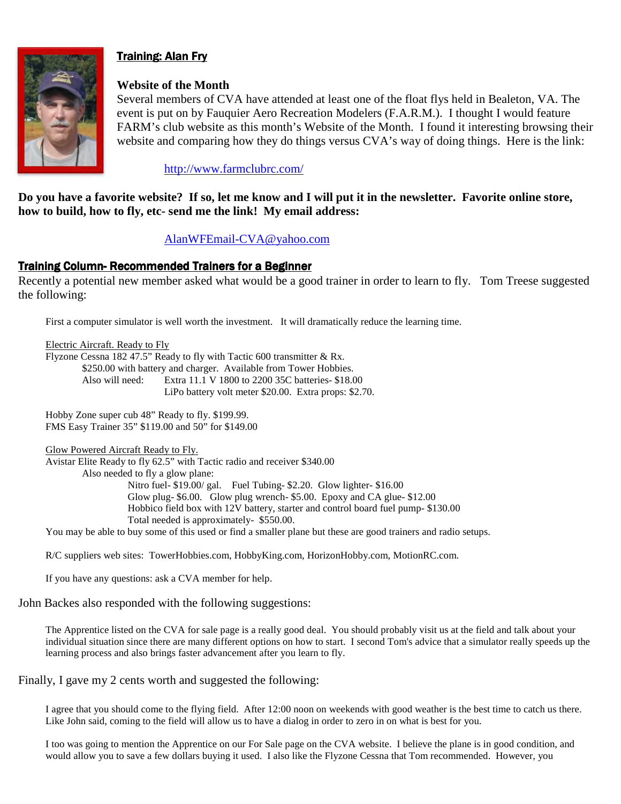

# **Training: Alan Fry**

#### **Website of the Month**

Several members of CVA have attended at least one of the float flys held in Bealeton, VA. The event is put on by Fauquier Aero Recreation Modelers (F.A.R.M.). I thought I would feature FARM's club website as this month's Website of the Month. I found it interesting browsing their website and comparing how they do things versus CVA's way of doing things. Here is the link:

http://www.farmclubrc.com/

**Do you have a favorite website? If so, let me know and I will put it in the newsletter. Favorite online store, how to build, how to fly, etc- send me the link! My email address:** 

## AlanWFEmail-CVA@yahoo.com

### Training Column-Recommended Trainers for a Beginner

Recently a potential new member asked what would be a good trainer in order to learn to fly. Tom Treese suggested the following:

First a computer simulator is well worth the investment. It will dramatically reduce the learning time.

Electric Aircraft. Ready to Fly Flyzone Cessna 182 47.5" Ready to fly with Tactic 600 transmitter & Rx. \$250.00 with battery and charger. Available from Tower Hobbies. Also will need: Extra 11.1 V 1800 to 2200 35C batteries- \$18.00 LiPo battery volt meter \$20.00. Extra props: \$2.70.

Hobby Zone super cub 48" Ready to fly. \$199.99. FMS Easy Trainer 35" \$119.00 and 50" for \$149.00

Glow Powered Aircraft Ready to Fly. Avistar Elite Ready to fly 62.5" with Tactic radio and receiver \$340.00 Also needed to fly a glow plane: Nitro fuel- \$19.00/ gal. Fuel Tubing- \$2.20. Glow lighter- \$16.00 Glow plug- \$6.00. Glow plug wrench- \$5.00. Epoxy and CA glue- \$12.00 Hobbico field box with 12V battery, starter and control board fuel pump- \$130.00 Total needed is approximately- \$550.00.

You may be able to buy some of this used or find a smaller plane but these are good trainers and radio setups.

R/C suppliers web sites: TowerHobbies.com, HobbyKing.com, HorizonHobby.com, MotionRC.com.

If you have any questions: ask a CVA member for help.

John Backes also responded with the following suggestions:

The Apprentice listed on the CVA for sale page is a really good deal. You should probably visit us at the field and talk about your individual situation since there are many different options on how to start. I second Tom's advice that a simulator really speeds up the learning process and also brings faster advancement after you learn to fly.

Finally, I gave my 2 cents worth and suggested the following:

I agree that you should come to the flying field. After 12:00 noon on weekends with good weather is the best time to catch us there. Like John said, coming to the field will allow us to have a dialog in order to zero in on what is best for you.

I too was going to mention the Apprentice on our For Sale page on the CVA website. I believe the plane is in good condition, and would allow you to save a few dollars buying it used. I also like the Flyzone Cessna that Tom recommended. However, you